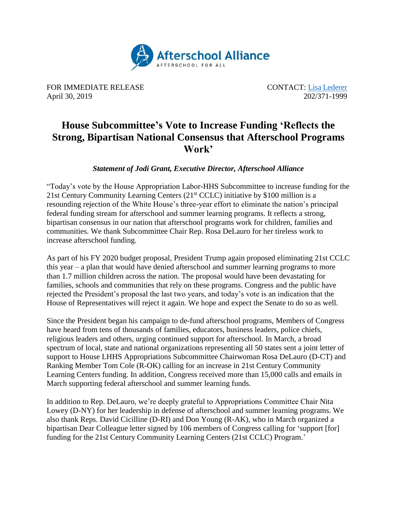

FOR IMMEDIATE RELEASE CONTACT: Lisa [Lederer](mailto:lisa@prsolutionsdc.com) April 30, 2019 202/371-1999

## **House Subcommittee's Vote to Increase Funding 'Reflects the Strong, Bipartisan National Consensus that Afterschool Programs Work'**

*Statement of Jodi Grant, Executive Director, Afterschool Alliance*

"Today's vote by the House Appropriation Labor-HHS Subcommittee to increase funding for the 21st Century Community Learning Centers  $(21<sup>st</sup> CCLC)$  initiative by \$100 million is a resounding rejection of the White House's three-year effort to eliminate the nation's principal federal funding stream for afterschool and summer learning programs. It reflects a strong, bipartisan consensus in our nation that afterschool programs work for children, families and communities. We thank Subcommittee Chair Rep. Rosa DeLauro for her tireless work to increase afterschool funding.

As part of his FY 2020 budget proposal, President Trump again proposed eliminating 21st CCLC this year – a plan that would have denied afterschool and summer learning programs to more than 1.7 million children across the nation. The proposal would have been devastating for families, schools and communities that rely on these programs. Congress and the public have rejected the President's proposal the last two years, and today's vote is an indication that the House of Representatives will reject it again. We hope and expect the Senate to do so as well.

Since the President began his campaign to de-fund afterschool programs, Members of Congress have heard from tens of thousands of families, educators, business leaders, police chiefs, religious leaders and others, urging continued support for afterschool. In March, a broad spectrum of local, state and national organizations representing all 50 states sent a joint letter of support to House LHHS Appropriations Subcommittee Chairwoman Rosa DeLauro (D-CT) and Ranking Member Tom Cole (R-OK) calling for an increase in 21st Century Community Learning Centers funding. In addition, Congress received more than 15,000 calls and emails in March supporting federal afterschool and summer learning funds.

In addition to Rep. DeLauro, we're deeply grateful to Appropriations Committee Chair Nita Lowey (D-NY) for her leadership in defense of afterschool and summer learning programs. We also thank Reps. David Cicilline (D-RI) and Don Young (R-AK), who in March organized a bipartisan [Dear Colleague](http://afterschoolalliance.org/documents/21stCenturyCLCsFY20FinalSignedLetter.pdf) letter signed by 106 members of Congress calling for 'support [for] funding for the 21st Century Community Learning Centers (21st CCLC) Program.'